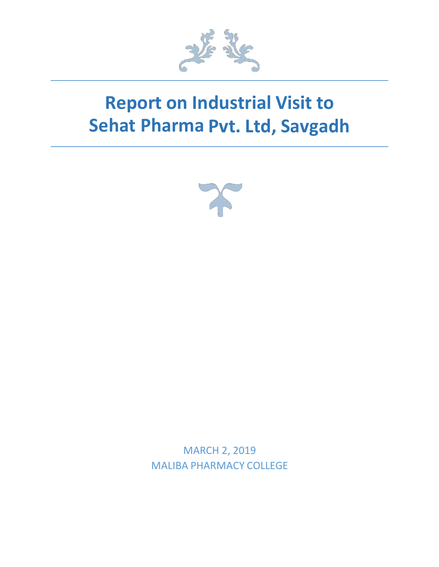

## **Report on Industrial Visit to Sehat Pharma Pvt. Ltd, Savgadh**



MARCH 2, 2019 MALIBA PHARMACY COLLEGE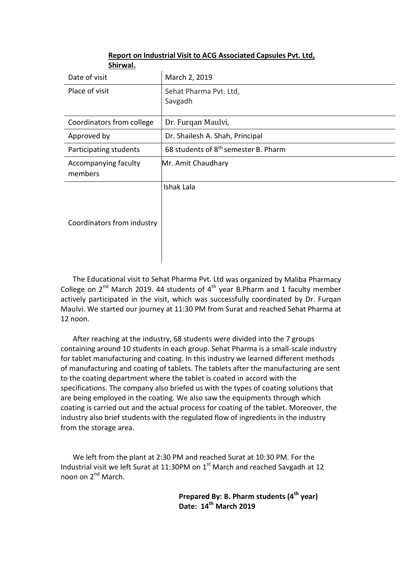| JIIII WAI.                      |                                                  |
|---------------------------------|--------------------------------------------------|
| Date of visit                   | March 2, 2019                                    |
| Place of visit                  | Sehat Pharma Pvt. Ltd,<br>Savgadh                |
| Coordinators from college       | Dr. Furqan Maulvi,                               |
| Approved by                     | Dr. Shailesh A. Shah, Principal                  |
| Participating students          | 68 students of 8 <sup>th</sup> semester B. Pharm |
| Accompanying faculty<br>members | Mr. Amit Chaudhary                               |
| Coordinators from industry      | Ishak Lala                                       |

## **Report on Industrial Visit to ACG Associated Capsules Pvt. Ltd, Shirwal.**

The Educational visit to Sehat Pharma Pvt. Ltd was organized by Maliba Pharmacy College on  $2^{nd}$  March 2019. 44 students of  $4^{th}$  year B.Pharm and 1 faculty member actively participated in the visit, which was successfully coordinated by Dr. Furqan Maulvi. We started our journey at 11:30 PM from Surat and reached Sehat Pharma at 12 noon.

After reaching at the industry, 68 students were divided into the 7 groups containing around 10 students in each group. Sehat Pharma is a small-scale industry for tablet manufacturing and coating. In this industry we learned different methods of manufacturing and coating of tablets. The tablets after the manufacturing are sent to the coating department where the tablet is coated in accord with the specifications. The company also briefed us with the types of coating solutions that are being employed in the coating. We also saw the equipments through which coating is carried out and the actual process for coating of the tablet. Moreover, the industry also brief students with the regulated flow of ingredients in the industry from the storage area.

We left from the plant at 2:30 PM and reached Surat at 10:30 PM. For the Industrial visit we left Surat at 11:30PM on  $1<sup>st</sup>$  March and reached Savgadh at 12 noon on 2<sup>nd</sup> March.

> **Prepared By: B. Pharm students (4th year) Date: 14th March 2019**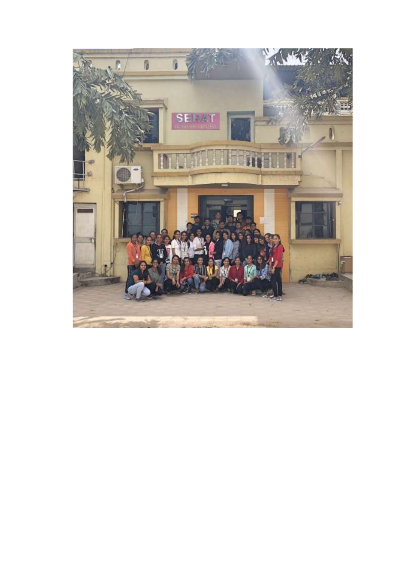